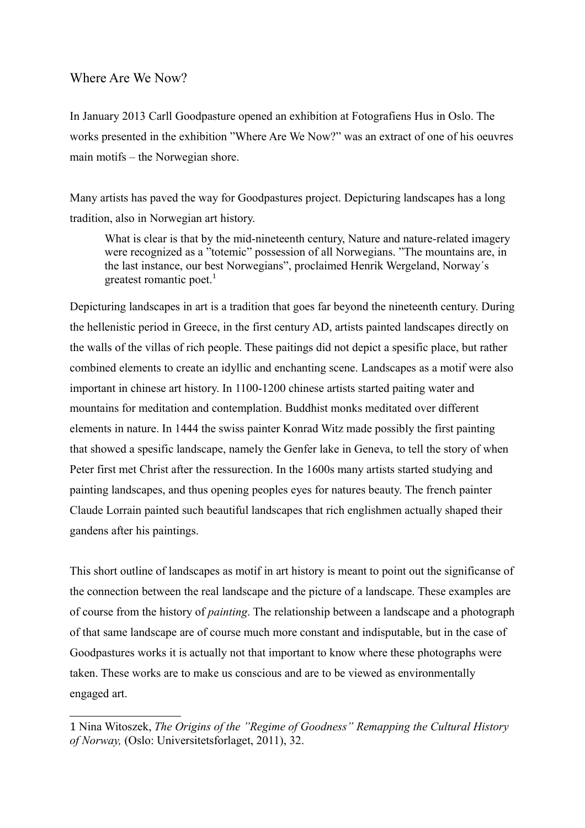### Where Are We Now?

In January 2013 Carll Goodpasture opened an exhibition at Fotografiens Hus in Oslo. The works presented in the exhibition "Where Are We Now?" was an extract of one of his oeuvres main motifs – the Norwegian shore.

Many artists has paved the way for Goodpastures project. Depicturing landscapes has a long tradition, also in Norwegian art history.

What is clear is that by the mid-nineteenth century, Nature and nature-related imagery were recognized as a "totemic" possession of all Norwegians. "The mountains are, in the last instance, our best Norwegians", proclaimed Henrik Wergeland, Norway´s greatest romantic poet. $1$ 

Depicturing landscapes in art is a tradition that goes far beyond the nineteenth century. During the hellenistic period in Greece, in the first century AD, artists painted landscapes directly on the walls of the villas of rich people. These paitings did not depict a spesific place, but rather combined elements to create an idyllic and enchanting scene. Landscapes as a motif were also important in chinese art history. In 1100-1200 chinese artists started paiting water and mountains for meditation and contemplation. Buddhist monks meditated over different elements in nature. In 1444 the swiss painter Konrad Witz made possibly the first painting that showed a spesific landscape, namely the Genfer lake in Geneva, to tell the story of when Peter first met Christ after the ressurection. In the 1600s many artists started studying and painting landscapes, and thus opening peoples eyes for natures beauty. The french painter Claude Lorrain painted such beautiful landscapes that rich englishmen actually shaped their gandens after his paintings.

This short outline of landscapes as motif in art history is meant to point out the significanse of the connection between the real landscape and the picture of a landscape. These examples are of course from the history of *painting*. The relationship between a landscape and a photograph of that same landscape are of course much more constant and indisputable, but in the case of Goodpastures works it is actually not that important to know where these photographs were taken. These works are to make us conscious and are to be viewed as environmentally engaged art.

<span id="page-0-0"></span><sup>1</sup> Nina Witoszek, *The Origins of the "Regime of Goodness" Remapping the Cultural History of Norway,* (Oslo: Universitetsforlaget, 2011), 32.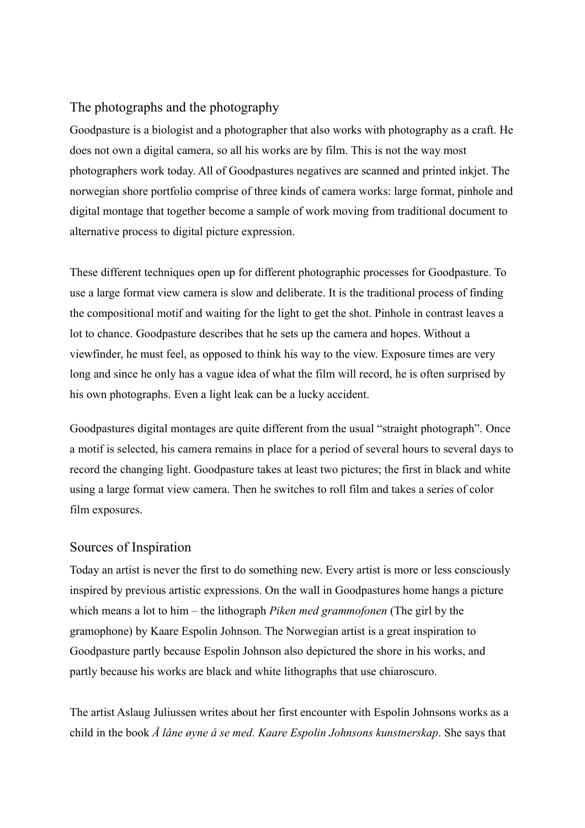## The photographs and the photography

Goodpasture is a biologist and a photographer that also works with photography as a craft. He does not own a digital camera, so all his works are by film. This is not the way most photographers work today. All of Goodpastures negatives are scanned and printed inkjet. The norwegian shore portfolio comprise of three kinds of camera works: large format, pinhole and digital montage that together become a sample of work moving from traditional document to alternative process to digital picture expression.

These different techniques open up for different photographic processes for Goodpasture. To use a large format view camera is slow and deliberate. It is the traditional process of finding the compositional motif and waiting for the light to get the shot. Pinhole in contrast leaves a lot to chance. Goodpasture describes that he sets up the camera and hopes. Without a viewfinder, he must feel, as opposed to think his way to the view. Exposure times are very long and since he only has a vague idea of what the film will record, he is often surprised by his own photographs. Even a light leak can be a lucky accident.

Goodpastures digital montages are quite different from the usual "straight photograph". Once a motif is selected, his camera remains in place for a period of several hours to several days to record the changing light. Goodpasture takes at least two pictures; the first in black and white using a large format view camera. Then he switches to roll film and takes a series of color film exposures.

## Sources of Inspiration

Today an artist is never the first to do something new. Every artist is more or less consciously inspired by previous artistic expressions. On the wall in Goodpastures home hangs a picture which means a lot to him – the lithograph *Piken med grammofonen* (The girl by the gramophone) by Kaare Espolin Johnson. The Norwegian artist is a great inspiration to Goodpasture partly because Espolin Johnson also depictured the shore in his works, and partly because his works are black and white lithographs that use chiaroscuro.

The artist Aslaug Juliussen writes about her first encounter with Espolin Johnsons works as a child in the book *Å låne øyne å se med. Kaare Espolin Johnsons kunstnerskap*. She says that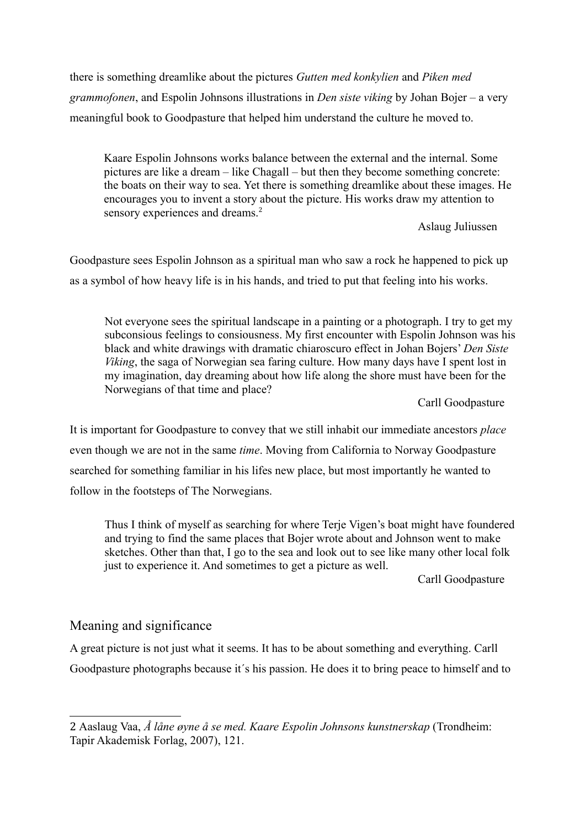there is something dreamlike about the pictures *Gutten med konkylien* and *Piken med grammofonen*, and Espolin Johnsons illustrations in *Den siste viking* by Johan Bojer – a very meaningful book to Goodpasture that helped him understand the culture he moved to.

Kaare Espolin Johnsons works balance between the external and the internal. Some pictures are like a dream – like Chagall – but then they become something concrete: the boats on their way to sea. Yet there is something dreamlike about these images. He encourages you to invent a story about the picture. His works draw my attention to sensory experiences and dreams.<sup>[2](#page-2-0)</sup>

#### Aslaug Juliussen

Goodpasture sees Espolin Johnson as a spiritual man who saw a rock he happened to pick up as a symbol of how heavy life is in his hands, and tried to put that feeling into his works.

Not everyone sees the spiritual landscape in a painting or a photograph. I try to get my subconsious feelings to consiousness. My first encounter with Espolin Johnson was his black and white drawings with dramatic chiaroscuro effect in Johan Bojers' *Den Siste Viking*, the saga of Norwegian sea faring culture. How many days have I spent lost in my imagination, day dreaming about how life along the shore must have been for the Norwegians of that time and place?

Carll Goodpasture

It is important for Goodpasture to convey that we still inhabit our immediate ancestors *place* even though we are not in the same *time*. Moving from California to Norway Goodpasture searched for something familiar in his lifes new place, but most importantly he wanted to follow in the footsteps of The Norwegians.

Thus I think of myself as searching for where Terje Vigen's boat might have foundered and trying to find the same places that Bojer wrote about and Johnson went to make sketches. Other than that, I go to the sea and look out to see like many other local folk just to experience it. And sometimes to get a picture as well.

Carll Goodpasture

# Meaning and significance

A great picture is not just what it seems. It has to be about something and everything. Carll Goodpasture photographs because it´s his passion. He does it to bring peace to himself and to

<span id="page-2-0"></span><sup>2</sup> Aaslaug Vaa, *Å låne øyne å se med. Kaare Espolin Johnsons kunstnerskap* (Trondheim: Tapir Akademisk Forlag, 2007), 121.